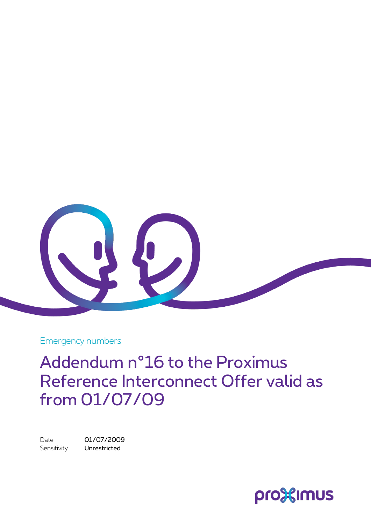

Emergency numbers

Addendum n°16 to the Proximus Reference Interconnect Offer valid as from 01/07/09

Date 01/07/2009 Sensitivity **Unrestricted** 

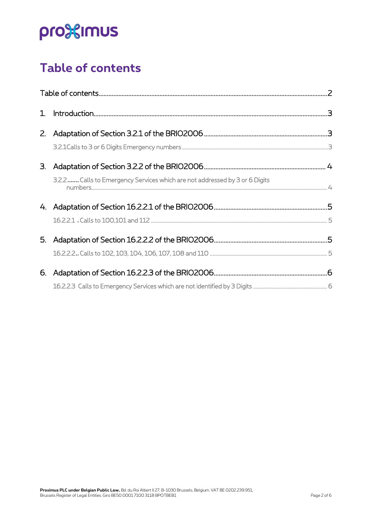# pro<sup>32</sup>imus

## <span id="page-1-0"></span>**Table of contents**

| 1. |                                                                                                                                                                                                                                                                                                                                                                                                                                                                                                                                                  |  |
|----|--------------------------------------------------------------------------------------------------------------------------------------------------------------------------------------------------------------------------------------------------------------------------------------------------------------------------------------------------------------------------------------------------------------------------------------------------------------------------------------------------------------------------------------------------|--|
| 2. |                                                                                                                                                                                                                                                                                                                                                                                                                                                                                                                                                  |  |
|    |                                                                                                                                                                                                                                                                                                                                                                                                                                                                                                                                                  |  |
| 3. |                                                                                                                                                                                                                                                                                                                                                                                                                                                                                                                                                  |  |
|    | 3.2.2 Calls to Emergency Services which are not addressed by 3 or 6 Digits<br>$\begin{array}{l} \text{number of 20000} \\ \text{number of 20000} \\ \text{number of 20000} \\ \text{number of 20000} \\ \text{number of 20000} \\ \text{number of 20000} \\ \text{number of 20000} \\ \text{number of 20000} \\ \text{number of 20000} \\ \text{number of 20000} \\ \text{number of 20000} \\ \text{number of 20000} \\ \text{number of 20000} \\ \text{number of 20000} \\ \text{number of 20000} \\ \text{number of 20000} \\ \text{number of$ |  |
|    |                                                                                                                                                                                                                                                                                                                                                                                                                                                                                                                                                  |  |
|    |                                                                                                                                                                                                                                                                                                                                                                                                                                                                                                                                                  |  |
| 5. |                                                                                                                                                                                                                                                                                                                                                                                                                                                                                                                                                  |  |
|    |                                                                                                                                                                                                                                                                                                                                                                                                                                                                                                                                                  |  |
| 6. |                                                                                                                                                                                                                                                                                                                                                                                                                                                                                                                                                  |  |
|    |                                                                                                                                                                                                                                                                                                                                                                                                                                                                                                                                                  |  |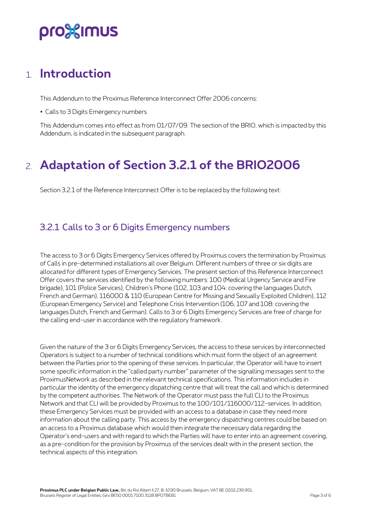## pro%imus

### <span id="page-2-0"></span>1. **Introduction**

This Addendum to the Proximus Reference Interconnect Offer 2006 concerns:

Calls to 3 Digits Emergency numbers

<span id="page-2-1"></span>This Addendum comes into effect as from 01/07/09. The section of the BRIO, which is impacted by this Addendum, is indicated in the subsequent paragraph.

## 2. **Adaptation of Section 3.2.1 of the BRIO2006**

Section 3.2.1 of the Reference Interconnect Offer is to be replaced by the following text:

#### <span id="page-2-2"></span>3.2.1 Calls to 3 or 6 Digits Emergency numbers

The access to 3 or 6 Digits Emergency Services offered by Proximus covers the termination by Proximus of Calls in pre-determined installations all over Belgium. Different numbers of three or six digits are allocated for different types of Emergency Services. The present section of this Reference Interconnect Offer covers the services identified by the following numbers: 100 (Medical Urgency Service and Fire brigade), 101 (Police Services), Children's Phone (102, 103 and 104: covering the languages Dutch, French and German), 116000 & 110 (European Centre for Missing and Sexually Exploited Children), 112 (European Emergency Service) and Telephone Crisis Intervention (106, 107 and 108: covering the languages Dutch, French and German). Calls to 3 or 6 Digits Emergency Services are free of charge for the calling end-user in accordance with the regulatory framework.

Given the nature of the 3 or 6 Digits Emergency Services, the access to these services by interconnected Operators is subject to a number of technical conditions which must form the object of an agreement between the Parties prior to the opening of these services. In particular, the Operator will have to insert some specific information in the "called party number" parameter of the signalling messages sent to the ProximusNetwork as described in the relevant technical specifications. This information includes in particular the identity of the emergency dispatching centre that will treat the call and which is determined by the competent authorities. The Network of the Operator must pass the full CLI to the Proximus Network and that CLI will be provided by Proximus to the 100/101/116000/112-services. In addition, these Emergency Services must be provided with an access to a database in case they need more information about the calling party. This access by the emergency dispatching centres could be based on an access to a Proximus database which would then integrate the necessary data regarding the Operator's end-users and with regard to which the Parties will have to enter into an agreement covering, as a pre-condition for the provision by Proximus of the services dealt with in the present section, the technical aspects of this integration.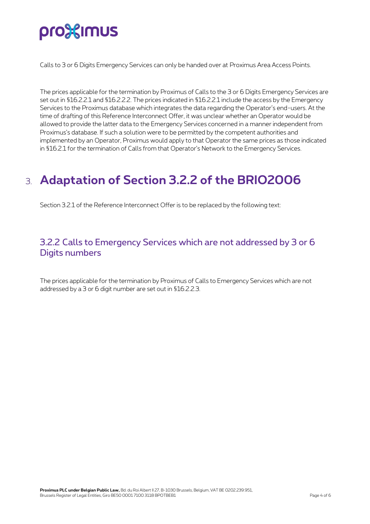# pro<sup>32</sup>imus

Calls to 3 or 6 Digits Emergency Services can only be handed over at Proximus Area Access Points.

The prices applicable for the termination by Proximus of Calls to the 3 or 6 Digits Emergency Services are set out in §16.2.2.1 and §16.2.2.2. The prices indicated in §16.2.2.1 include the access by the Emergency Services to the Proximus database which integrates the data regarding the Operator's end-users. At the time of drafting of this Reference Interconnect Offer, it was unclear whether an Operator would be allowed to provide the latter data to the Emergency Services concerned in a manner independent from Proximus's database. If such a solution were to be permitted by the competent authorities and implemented by an Operator, Proximus would apply to that Operator the same prices as those indicated in §16.2.1 for the termination of Calls from that Operator's Network to the Emergency Services.

## <span id="page-3-0"></span>3. **Adaptation of Section 3.2.2 of the BRIO2006**

Section 3.2.1 of the Reference Interconnect Offer is to be replaced by the following text:

#### <span id="page-3-1"></span>3.2.2 Calls to Emergency Services which are not addressed by 3 or 6 Digits numbers

The prices applicable for the termination by Proximus of Calls to Emergency Services which are not addressed by a 3 or 6 digit number are set out in §16.2.2.3.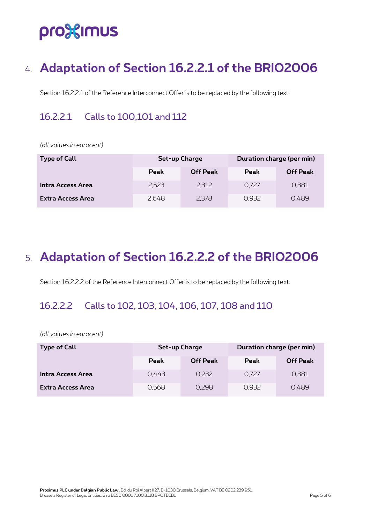## pro<sup>32</sup>imus

## <span id="page-4-0"></span>4. **Adaptation of Section 16.2.2.1 of the BRIO2006**

Section 16.2.2.1 of the Reference Interconnect Offer is to be replaced by the following text:

#### <span id="page-4-1"></span>16.2.2.1 Calls to 100,101 and 112

*(all values in eurocent)*

| <b>Type of Call</b>      | Set-up Charge |                 | Duration charge (per min) |                 |
|--------------------------|---------------|-----------------|---------------------------|-----------------|
|                          | Peak          | <b>Off Peak</b> | <b>Peak</b>               | <b>Off Peak</b> |
| Intra Access Area        | 2.523         | 2,312           | 0.727                     | 0.381           |
| <b>Extra Access Area</b> | 2,648         | 2,378           | 0.932                     | 0.489           |

### <span id="page-4-2"></span>5. **Adaptation of Section 16.2.2.2 of the BRIO2006**

Section 16.2.2.2 of the Reference Interconnect Offer is to be replaced by the following text:

#### <span id="page-4-3"></span>16.2.2.2 Calls to 102, 103, 104, 106, 107, 108 and 110

*(all values in eurocent)*

| <b>Type of Call</b>      | Set-up Charge |                 | Duration charge (per min) |                 |
|--------------------------|---------------|-----------------|---------------------------|-----------------|
|                          | <b>Peak</b>   | <b>Off Peak</b> | <b>Peak</b>               | <b>Off Peak</b> |
| Intra Access Area        | 0.443         | 0,232           | 0.727                     | 0,381           |
| <b>Extra Access Area</b> | 0,568         | 0,298           | 0.932                     | 0,489           |